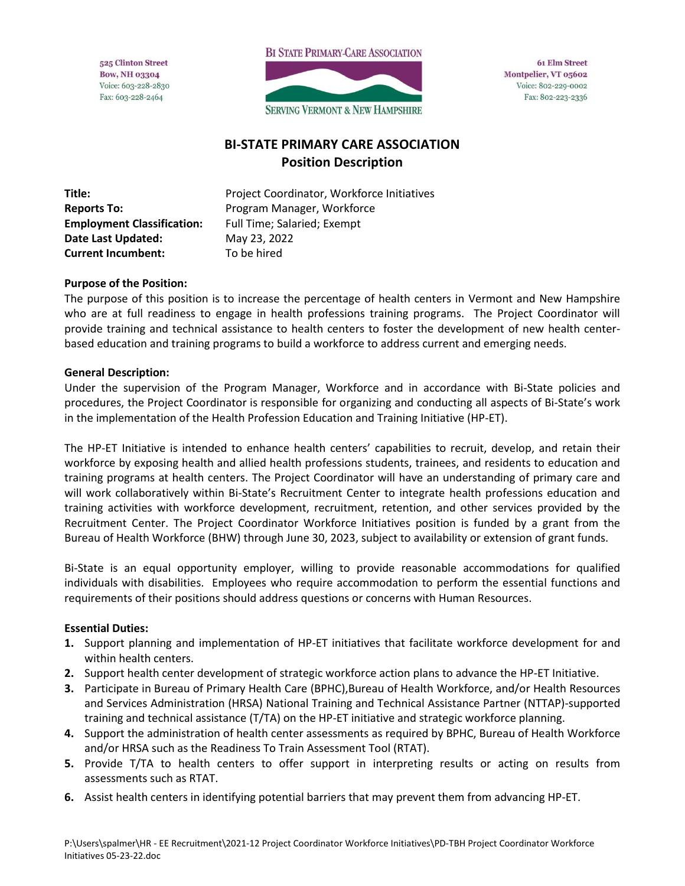525 Clinton Street **Bow, NH 03304** Voice: 603-228-2830 Fax: 603-228-2464



**61 Elm Street** Montpelier, VT 05602 Voice: 802-229-0002 Fax: 802-223-2336

# **BI-STATE PRIMARY CARE ASSOCIATION Position Description**

**Employment Classification:** Full Time; Salaried; Exempt **Date Last Updated:** May 23, 2022 **Current Incumbent:** To be hired

**Title:** Project Coordinator, Workforce Initiatives **Reports To:** Program Manager, Workforce

### **Purpose of the Position:**

The purpose of this position is to increase the percentage of health centers in Vermont and New Hampshire who are at full readiness to engage in health professions training programs. The Project Coordinator will provide training and technical assistance to health centers to foster the development of new health centerbased education and training programs to build a workforce to address current and emerging needs.

#### **General Description:**

Under the supervision of the Program Manager, Workforce and in accordance with Bi-State policies and procedures, the Project Coordinator is responsible for organizing and conducting all aspects of Bi-State's work in the implementation of the Health Profession Education and Training Initiative (HP-ET).

The HP-ET Initiative is intended to enhance health centers' capabilities to recruit, develop, and retain their workforce by exposing health and allied health professions students, trainees, and residents to education and training programs at health centers. The Project Coordinator will have an understanding of primary care and will work collaboratively within Bi-State's Recruitment Center to integrate health professions education and training activities with workforce development, recruitment, retention, and other services provided by the Recruitment Center. The Project Coordinator Workforce Initiatives position is funded by a grant from the Bureau of Health Workforce (BHW) through June 30, 2023, subject to availability or extension of grant funds.

Bi-State is an equal opportunity employer, willing to provide reasonable accommodations for qualified individuals with disabilities. Employees who require accommodation to perform the essential functions and requirements of their positions should address questions or concerns with Human Resources.

#### **Essential Duties:**

- **1.** Support planning and implementation of HP-ET initiatives that facilitate workforce development for and within health centers.
- **2.** Support health center development of strategic workforce action plans to advance the HP-ET Initiative.
- **3.** Participate in Bureau of Primary Health Care (BPHC),Bureau of Health Workforce, and/or Health Resources and Services Administration (HRSA) National Training and Technical Assistance Partner (NTTAP)-supported training and technical assistance (T/TA) on the HP-ET initiative and strategic workforce planning.
- **4.** Support the administration of health center assessments as required by BPHC, Bureau of Health Workforce and/or HRSA such as the Readiness To Train Assessment Tool (RTAT).
- **5.** Provide T/TA to health centers to offer support in interpreting results or acting on results from assessments such as RTAT.
- **6.** Assist health centers in identifying potential barriers that may prevent them from advancing HP-ET.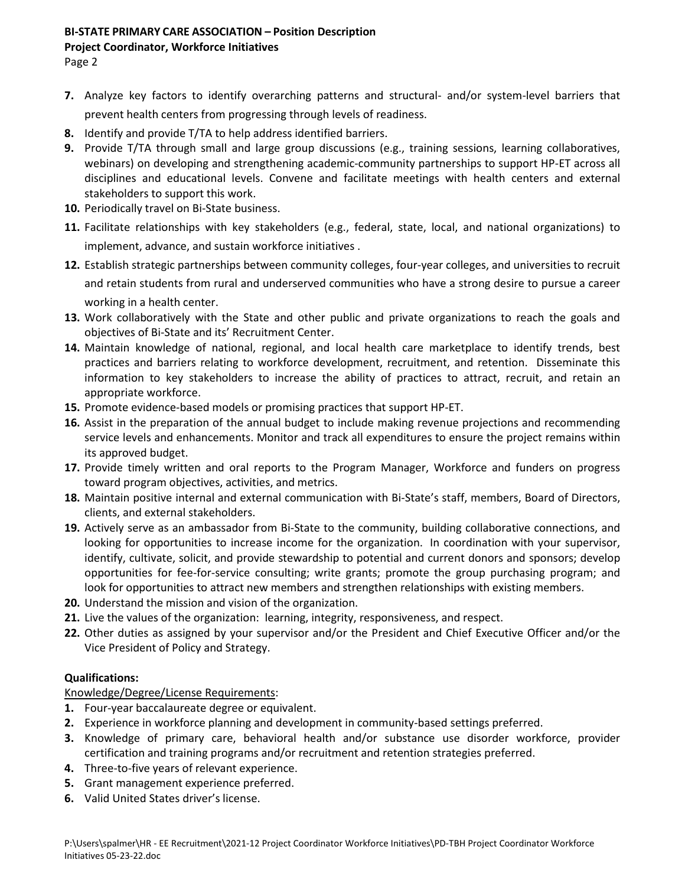#### **BI-STATE PRIMARY CARE ASSOCIATION – Position Description**

#### **Project Coordinator, Workforce Initiatives**

Page 2

- **7.** Analyze key factors to identify overarching patterns and structural- and/or system-level barriers that prevent health centers from progressing through levels of readiness.
- **8.** Identify and provide T/TA to help address identified barriers.
- **9.** Provide T/TA through small and large group discussions (e.g., training sessions, learning collaboratives, webinars) on developing and strengthening academic-community partnerships to support HP-ET across all disciplines and educational levels. Convene and facilitate meetings with health centers and external stakeholders to support this work.
- **10.** Periodically travel on Bi-State business.
- **11.** Facilitate relationships with key stakeholders (e.g., federal, state, local, and national organizations) to implement, advance, and sustain workforce initiatives .
- **12.** Establish strategic partnerships between community colleges, four-year colleges, and universities to recruit and retain students from rural and underserved communities who have a strong desire to pursue a career working in a health center.
- **13.** Work collaboratively with the State and other public and private organizations to reach the goals and objectives of Bi-State and its' Recruitment Center.
- **14.** Maintain knowledge of national, regional, and local health care marketplace to identify trends, best practices and barriers relating to workforce development, recruitment, and retention. Disseminate this information to key stakeholders to increase the ability of practices to attract, recruit, and retain an appropriate workforce.
- **15.** Promote evidence-based models or promising practices that support HP-ET.
- **16.** Assist in the preparation of the annual budget to include making revenue projections and recommending service levels and enhancements. Monitor and track all expenditures to ensure the project remains within its approved budget.
- **17.** Provide timely written and oral reports to the Program Manager, Workforce and funders on progress toward program objectives, activities, and metrics.
- **18.** Maintain positive internal and external communication with Bi-State's staff, members, Board of Directors, clients, and external stakeholders.
- **19.** Actively serve as an ambassador from Bi-State to the community, building collaborative connections, and looking for opportunities to increase income for the organization. In coordination with your supervisor, identify, cultivate, solicit, and provide stewardship to potential and current donors and sponsors; develop opportunities for fee-for-service consulting; write grants; promote the group purchasing program; and look for opportunities to attract new members and strengthen relationships with existing members.
- **20.** Understand the mission and vision of the organization.
- **21.** Live the values of the organization: learning, integrity, responsiveness, and respect.
- **22.** Other duties as assigned by your supervisor and/or the President and Chief Executive Officer and/or the Vice President of Policy and Strategy.

## **Qualifications:**

Knowledge/Degree/License Requirements:

- **1.** Four-year baccalaureate degree or equivalent.
- **2.** Experience in workforce planning and development in community-based settings preferred.
- **3.** Knowledge of primary care, behavioral health and/or substance use disorder workforce, provider certification and training programs and/or recruitment and retention strategies preferred.
- **4.** Three-to-five years of relevant experience.
- **5.** Grant management experience preferred.
- **6.** Valid United States driver's license.